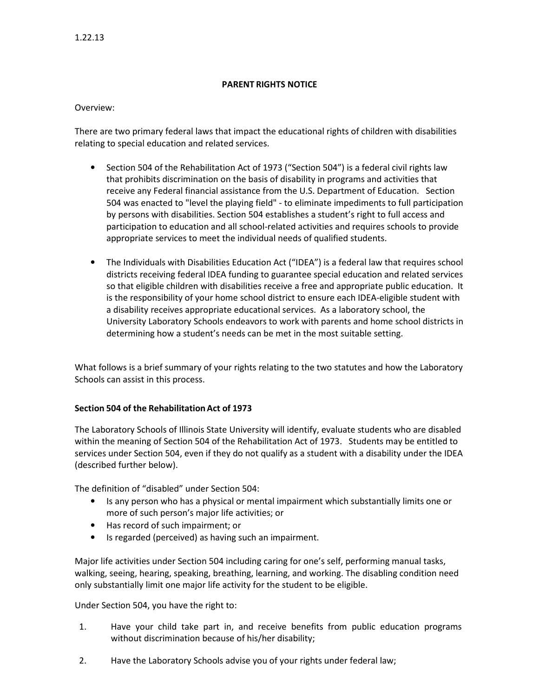## PARENT RIGHTS NOTICE

## Overview:

There are two primary federal laws that impact the educational rights of children with disabilities relating to special education and related services.

- Section 504 of the Rehabilitation Act of 1973 ("Section 504") is a federal civil rights law that prohibits discrimination on the basis of disability in programs and activities that receive any Federal financial assistance from the U.S. Department of Education. Section 504 was enacted to "level the playing field" - to eliminate impediments to full participation by persons with disabilities. Section 504 establishes a student's right to full access and participation to education and all school-related activities and requires schools to provide appropriate services to meet the individual needs of qualified students.
- The Individuals with Disabilities Education Act ("IDEA") is a federal law that requires school districts receiving federal IDEA funding to guarantee special education and related services so that eligible children with disabilities receive a free and appropriate public education. It is the responsibility of your home school district to ensure each IDEA-eligible student with a disability receives appropriate educational services. As a laboratory school, the University Laboratory Schools endeavors to work with parents and home school districts in determining how a student's needs can be met in the most suitable setting.

What follows is a brief summary of your rights relating to the two statutes and how the Laboratory Schools can assist in this process.

## Section 504 of the Rehabilitation Act of 1973

The Laboratory Schools of Illinois State University will identify, evaluate students who are disabled within the meaning of Section 504 of the Rehabilitation Act of 1973. Students may be entitled to services under Section 504, even if they do not qualify as a student with a disability under the IDEA (described further below).

The definition of "disabled" under Section 504:

- Is any person who has a physical or mental impairment which substantially limits one or more of such person's major life activities; or
- Has record of such impairment; or
- Is regarded (perceived) as having such an impairment.

Major life activities under Section 504 including caring for one's self, performing manual tasks, walking, seeing, hearing, speaking, breathing, learning, and working. The disabling condition need only substantially limit one major life activity for the student to be eligible.

Under Section 504, you have the right to:

- 1. Have your child take part in, and receive benefits from public education programs without discrimination because of his/her disability;
- 2. Have the Laboratory Schools advise you of your rights under federal law;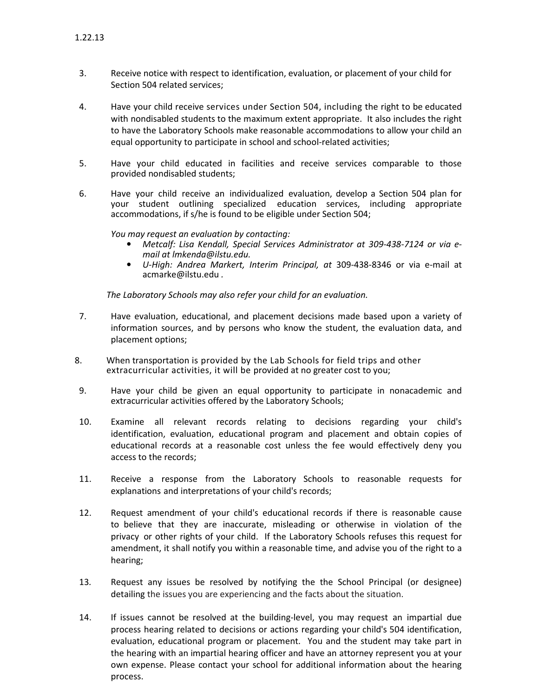- 3. Receive notice with respect to identification, evaluation, or placement of your child for Section 504 related services;
- 4. Have your child receive services under Section 504, including the right to be educated with nondisabled students to the maximum extent appropriate. It also includes the right to have the Laboratory Schools make reasonable accommodations to allow your child an equal opportunity to participate in school and school-related activities;
- 5. Have your child educated in facilities and receive services comparable to those provided nondisabled students;
- 6. Have your child receive an individualized evaluation, develop a Section 504 plan for your student outlining specialized education services, including appropriate accommodations, if s/he is found to be eligible under Section 504;

You may request an evaluation by contacting:

- Metcalf: Lisa Kendall, Special Services Administrator at 309-438-7124 or via email at lmkenda@ilstu.edu.
- U-High: Andrea Markert, Interim Principal, at 309-438-8346 or via e-mail at acmarke@ilstu.edu .

The Laboratory Schools may also refer your child for an evaluation.

- 7. Have evaluation, educational, and placement decisions made based upon a variety of information sources, and by persons who know the student, the evaluation data, and placement options;
- 8. When transportation is provided by the Lab Schools for field trips and other extracurricular activities, it will be provided at no greater cost to you;
- 9. Have your child be given an equal opportunity to participate in nonacademic and extracurricular activities offered by the Laboratory Schools;
- 10. Examine all relevant records relating to decisions regarding your child's identification, evaluation, educational program and placement and obtain copies of educational records at a reasonable cost unless the fee would effectively deny you access to the records;
- 11. Receive a response from the Laboratory Schools to reasonable requests for explanations and interpretations of your child's records;
- 12. Request amendment of your child's educational records if there is reasonable cause to believe that they are inaccurate, misleading or otherwise in violation of the privacy or other rights of your child. If the Laboratory Schools refuses this request for amendment, it shall notify you within a reasonable time, and advise you of the right to a hearing;
- 13. Request any issues be resolved by notifying the the School Principal (or designee) detailing the issues you are experiencing and the facts about the situation.
- 14. If issues cannot be resolved at the building-level, you may request an impartial due process hearing related to decisions or actions regarding your child's 504 identification, evaluation, educational program or placement. You and the student may take part in the hearing with an impartial hearing officer and have an attorney represent you at your own expense. Please contact your school for additional information about the hearing process.